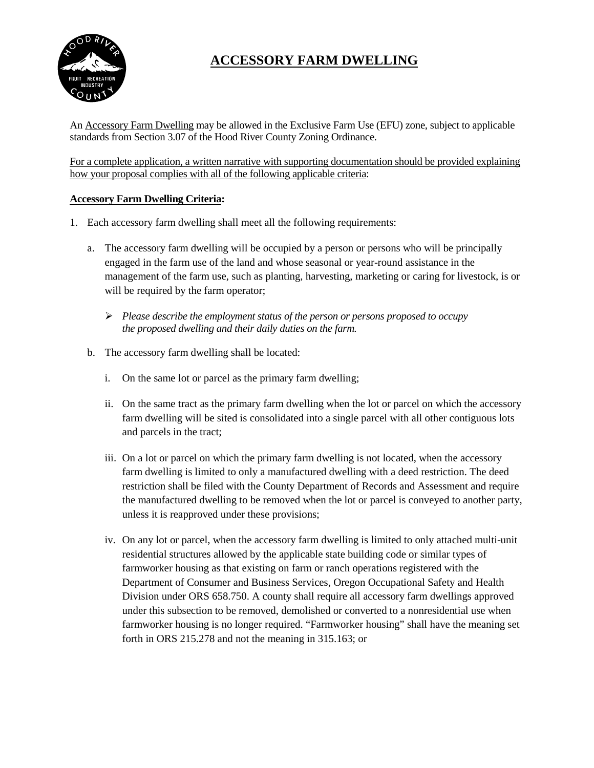

# **ACCESSORY FARM DWELLING**

An Accessory Farm Dwelling may be allowed in the Exclusive Farm Use (EFU) zone, subject to applicable standards from Section 3.07 of the Hood River County Zoning Ordinance.

For a complete application, a written narrative with supporting documentation should be provided explaining how your proposal complies with all of the following applicable criteria:

### **Accessory Farm Dwelling Criteria:**

- 1. Each accessory farm dwelling shall meet all the following requirements:
	- a. The accessory farm dwelling will be occupied by a person or persons who will be principally engaged in the farm use of the land and whose seasonal or year-round assistance in the management of the farm use, such as planting, harvesting, marketing or caring for livestock, is or will be required by the farm operator;
		- *Please describe the employment status of the person or persons proposed to occupy the proposed dwelling and their daily duties on the farm.*
	- b. The accessory farm dwelling shall be located:
		- i. On the same lot or parcel as the primary farm dwelling;
		- ii. On the same tract as the primary farm dwelling when the lot or parcel on which the accessory farm dwelling will be sited is consolidated into a single parcel with all other contiguous lots and parcels in the tract;
		- iii. On a lot or parcel on which the primary farm dwelling is not located, when the accessory farm dwelling is limited to only a manufactured dwelling with a deed restriction. The deed restriction shall be filed with the County Department of Records and Assessment and require the manufactured dwelling to be removed when the lot or parcel is conveyed to another party, unless it is reapproved under these provisions;
		- iv. On any lot or parcel, when the accessory farm dwelling is limited to only attached multi-unit residential structures allowed by the applicable state building code or similar types of farmworker housing as that existing on farm or ranch operations registered with the Department of Consumer and Business Services, Oregon Occupational Safety and Health Division under ORS 658.750. A county shall require all accessory farm dwellings approved under this subsection to be removed, demolished or converted to a nonresidential use when farmworker housing is no longer required. "Farmworker housing" shall have the meaning set forth in ORS 215.278 and not the meaning in 315.163; or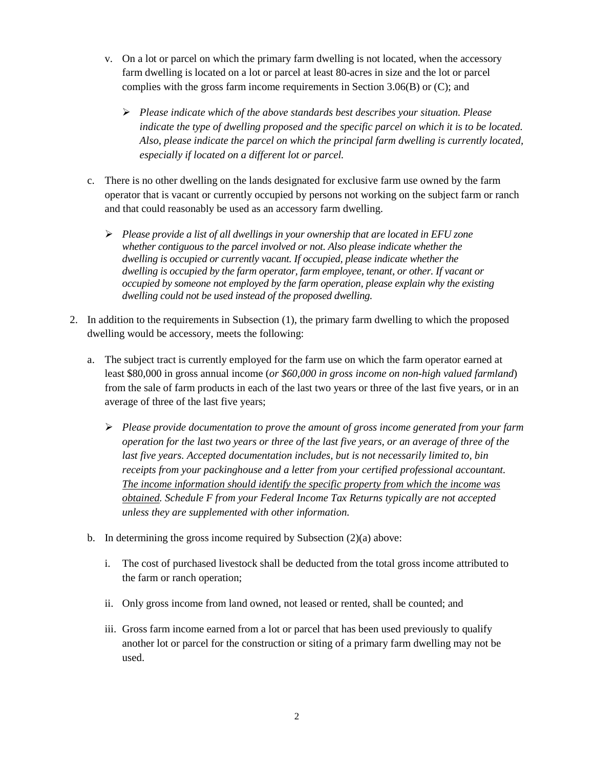- v. On a lot or parcel on which the primary farm dwelling is not located, when the accessory farm dwelling is located on a lot or parcel at least 80-acres in size and the lot or parcel complies with the gross farm income requirements in Section 3.06(B) or (C); and
	- *Please indicate which of the above standards best describes your situation. Please indicate the type of dwelling proposed and the specific parcel on which it is to be located. Also, please indicate the parcel on which the principal farm dwelling is currently located, especially if located on a different lot or parcel.*
- c. There is no other dwelling on the lands designated for exclusive farm use owned by the farm operator that is vacant or currently occupied by persons not working on the subject farm or ranch and that could reasonably be used as an accessory farm dwelling.
	- *Please provide a list of all dwellings in your ownership that are located in EFU zone whether contiguous to the parcel involved or not. Also please indicate whether the dwelling is occupied or currently vacant. If occupied, please indicate whether the dwelling is occupied by the farm operator, farm employee, tenant, or other. If vacant or occupied by someone not employed by the farm operation, please explain why the existing dwelling could not be used instead of the proposed dwelling.*
- 2. In addition to the requirements in Subsection (1), the primary farm dwelling to which the proposed dwelling would be accessory, meets the following:
	- a. The subject tract is currently employed for the farm use on which the farm operator earned at least \$80,000 in gross annual income (*or \$60,000 in gross income on non-high valued farmland*) from the sale of farm products in each of the last two years or three of the last five years, or in an average of three of the last five years;
		- *Please provide documentation to prove the amount of gross income generated from your farm operation for the last two years or three of the last five years, or an average of three of the last five years. Accepted documentation includes, but is not necessarily limited to, bin receipts from your packinghouse and a letter from your certified professional accountant. The income information should identify the specific property from which the income was obtained. Schedule F from your Federal Income Tax Returns typically are not accepted unless they are supplemented with other information.*
	- b. In determining the gross income required by Subsection (2)(a) above:
		- i. The cost of purchased livestock shall be deducted from the total gross income attributed to the farm or ranch operation;
		- ii. Only gross income from land owned, not leased or rented, shall be counted; and
		- iii. Gross farm income earned from a lot or parcel that has been used previously to qualify another lot or parcel for the construction or siting of a primary farm dwelling may not be used.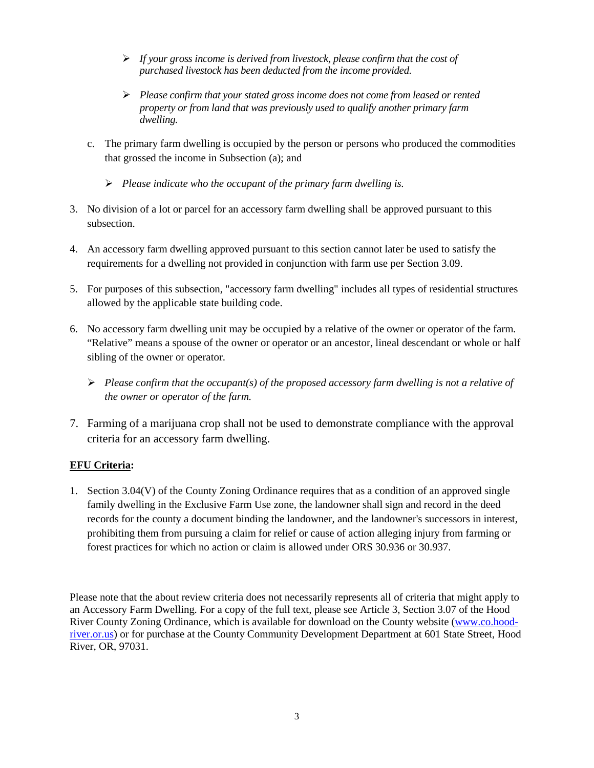- *If your gross income is derived from livestock, please confirm that the cost of purchased livestock has been deducted from the income provided.*
- *Please confirm that your stated gross income does not come from leased or rented property or from land that was previously used to qualify another primary farm dwelling.*
- c. The primary farm dwelling is occupied by the person or persons who produced the commodities that grossed the income in Subsection (a); and
	- *Please indicate who the occupant of the primary farm dwelling is.*
- 3. No division of a lot or parcel for an accessory farm dwelling shall be approved pursuant to this subsection.
- 4. An accessory farm dwelling approved pursuant to this section cannot later be used to satisfy the requirements for a dwelling not provided in conjunction with farm use per Section 3.09.
- 5. For purposes of this subsection, "accessory farm dwelling" includes all types of residential structures allowed by the applicable state building code.
- 6. No accessory farm dwelling unit may be occupied by a relative of the owner or operator of the farm. "Relative" means a spouse of the owner or operator or an ancestor, lineal descendant or whole or half sibling of the owner or operator.
	- *Please confirm that the occupant(s) of the proposed accessory farm dwelling is not a relative of the owner or operator of the farm.*
- 7. Farming of a marijuana crop shall not be used to demonstrate compliance with the approval criteria for an accessory farm dwelling.

### **EFU Criteria:**

1. Section 3.04(V) of the County Zoning Ordinance requires that as a condition of an approved single family dwelling in the Exclusive Farm Use zone, the landowner shall sign and record in the deed records for the county a document binding the landowner, and the landowner's successors in interest, prohibiting them from pursuing a claim for relief or cause of action alleging injury from farming or forest practices for which no action or claim is allowed under ORS 30.936 or 30.937.

Please note that the about review criteria does not necessarily represents all of criteria that might apply to an Accessory Farm Dwelling. For a copy of the full text, please see Article 3, Section 3.07 of the Hood River County Zoning Ordinance, which is available for download on the County website [\(www.co.hood](http://www.co.hood-river.or.us/)[river.or.us\)](http://www.co.hood-river.or.us/) or for purchase at the County Community Development Department at 601 State Street, Hood River, OR, 97031.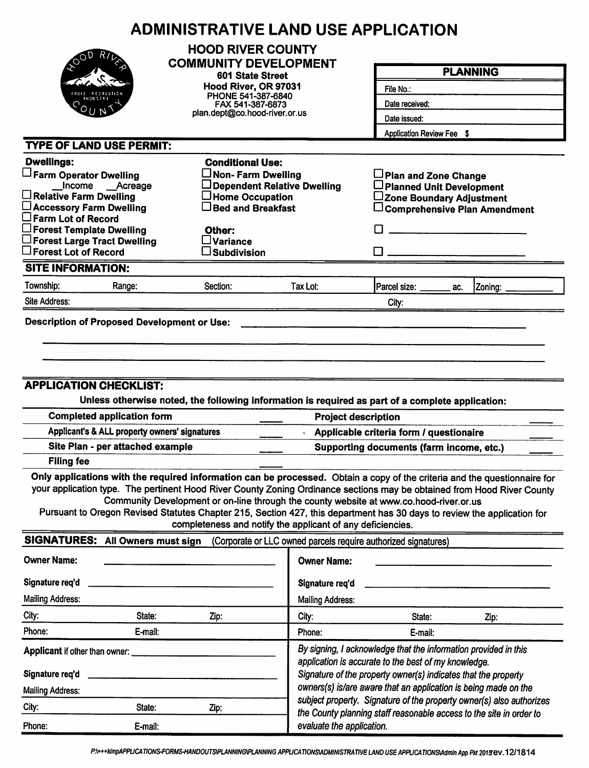|                                                                                                                                                                                                                                                    | <b>ADMINISTRATIVE LAND USE APPLICATION</b>                                                                                                                                                                                                                                                                                                                                                                             |                                                                                                                                                                                           |                                                                      |                                                                                     |  |  |  |
|----------------------------------------------------------------------------------------------------------------------------------------------------------------------------------------------------------------------------------------------------|------------------------------------------------------------------------------------------------------------------------------------------------------------------------------------------------------------------------------------------------------------------------------------------------------------------------------------------------------------------------------------------------------------------------|-------------------------------------------------------------------------------------------------------------------------------------------------------------------------------------------|----------------------------------------------------------------------|-------------------------------------------------------------------------------------|--|--|--|
|                                                                                                                                                                                                                                                    | <b>HOOD RIVER COUNTY</b><br><b>COMMUNITY DEVELOPMENT</b>                                                                                                                                                                                                                                                                                                                                                               |                                                                                                                                                                                           |                                                                      | <b>PLANNING</b>                                                                     |  |  |  |
|                                                                                                                                                                                                                                                    | 601 State Street                                                                                                                                                                                                                                                                                                                                                                                                       |                                                                                                                                                                                           |                                                                      |                                                                                     |  |  |  |
|                                                                                                                                                                                                                                                    | Hood River, OR 97031<br>PHONE 541-387-6840                                                                                                                                                                                                                                                                                                                                                                             |                                                                                                                                                                                           | File No.:                                                            |                                                                                     |  |  |  |
|                                                                                                                                                                                                                                                    | FAX 541-387-6873                                                                                                                                                                                                                                                                                                                                                                                                       |                                                                                                                                                                                           | Date received:                                                       |                                                                                     |  |  |  |
|                                                                                                                                                                                                                                                    |                                                                                                                                                                                                                                                                                                                                                                                                                        | plan.dept@co.hood-river.or.us                                                                                                                                                             |                                                                      | Date issued:<br>Application Review Fee \$                                           |  |  |  |
|                                                                                                                                                                                                                                                    |                                                                                                                                                                                                                                                                                                                                                                                                                        |                                                                                                                                                                                           |                                                                      |                                                                                     |  |  |  |
| <b>TYPE OF LAND USE PERMIT:</b>                                                                                                                                                                                                                    |                                                                                                                                                                                                                                                                                                                                                                                                                        |                                                                                                                                                                                           |                                                                      |                                                                                     |  |  |  |
| <b>Dwellings:</b>                                                                                                                                                                                                                                  | <b>Conditional Use:</b>                                                                                                                                                                                                                                                                                                                                                                                                |                                                                                                                                                                                           |                                                                      |                                                                                     |  |  |  |
| Farm Operator Dwelling<br>Income __Acreage                                                                                                                                                                                                         | $\Box$ Non- Farm Dwelling                                                                                                                                                                                                                                                                                                                                                                                              | Dependent Relative Dwelling                                                                                                                                                               | Plan and Zone Change<br>□ Planned Unit Development                   |                                                                                     |  |  |  |
| $\Box$ Relative Farm Dwelling                                                                                                                                                                                                                      | $\Box$ Home Occupation                                                                                                                                                                                                                                                                                                                                                                                                 |                                                                                                                                                                                           | ∟Zone Boundary Adjustment                                            |                                                                                     |  |  |  |
| □ Accessory Farm Dwelling                                                                                                                                                                                                                          | $\Box$ Bed and Breakfast                                                                                                                                                                                                                                                                                                                                                                                               |                                                                                                                                                                                           |                                                                      | $\Box$ Comprehensive Plan Amendment                                                 |  |  |  |
| $\square$ Farm Lot of Record<br>$\Box$ Forest Template Dwelling                                                                                                                                                                                    | Other:                                                                                                                                                                                                                                                                                                                                                                                                                 |                                                                                                                                                                                           |                                                                      |                                                                                     |  |  |  |
| $\square$ Forest Large Tract Dwelling                                                                                                                                                                                                              | $\square$ Variance                                                                                                                                                                                                                                                                                                                                                                                                     |                                                                                                                                                                                           |                                                                      |                                                                                     |  |  |  |
| $\square$ Forest Lot of Record                                                                                                                                                                                                                     | $\square$ Subdivision                                                                                                                                                                                                                                                                                                                                                                                                  |                                                                                                                                                                                           |                                                                      |                                                                                     |  |  |  |
| <b>SITE INFORMATION:</b>                                                                                                                                                                                                                           |                                                                                                                                                                                                                                                                                                                                                                                                                        |                                                                                                                                                                                           |                                                                      |                                                                                     |  |  |  |
| Township:<br>Range:                                                                                                                                                                                                                                | Section:                                                                                                                                                                                                                                                                                                                                                                                                               | Tax Lot:                                                                                                                                                                                  | Parcel size: ______<br>ac.                                           | Zoning:                                                                             |  |  |  |
| Site Address:                                                                                                                                                                                                                                      |                                                                                                                                                                                                                                                                                                                                                                                                                        |                                                                                                                                                                                           | City:                                                                |                                                                                     |  |  |  |
| <b>Filing fee</b>                                                                                                                                                                                                                                  | <b>APPLICATION CHECKLIST:</b><br>Unless otherwise noted, the following information is required as part of a complete application:<br><b>Completed application form</b><br><b>Project description</b><br>Applicant's & ALL property owners' signatures<br>Site Plan - per attached example<br>Only applications with the required information can be processed. Obtain a copy of the criteria and the questionnaire for |                                                                                                                                                                                           |                                                                      | Applicable criteria form / questionaire<br>Supporting documents (farm income, etc.) |  |  |  |
| your application type. The pertinent Hood River County Zoning Ordinance sections may be obtained from Hood River County<br>Pursuant to Oregon Revised Statutes Chapter 215, Section 427, this department has 30 days to review the application for | Community Development or on-line through the county website at www.co.hood-river.or.us<br>completeness and notify the applicant of any deficiencies.                                                                                                                                                                                                                                                                   |                                                                                                                                                                                           |                                                                      |                                                                                     |  |  |  |
| SIGNATURES: All Owners must sign                                                                                                                                                                                                                   |                                                                                                                                                                                                                                                                                                                                                                                                                        |                                                                                                                                                                                           | (Corporate or LLC owned parcels require authorized signatures)       |                                                                                     |  |  |  |
| <b>Owner Name:</b>                                                                                                                                                                                                                                 |                                                                                                                                                                                                                                                                                                                                                                                                                        | <b>Owner Name:</b>                                                                                                                                                                        |                                                                      |                                                                                     |  |  |  |
| Signature req'd                                                                                                                                                                                                                                    |                                                                                                                                                                                                                                                                                                                                                                                                                        | Signature req'd                                                                                                                                                                           |                                                                      |                                                                                     |  |  |  |
| <b>Mailing Address:</b>                                                                                                                                                                                                                            |                                                                                                                                                                                                                                                                                                                                                                                                                        | <b>Mailing Address:</b>                                                                                                                                                                   |                                                                      |                                                                                     |  |  |  |
| City:<br>State:                                                                                                                                                                                                                                    | Zip:                                                                                                                                                                                                                                                                                                                                                                                                                   | City:                                                                                                                                                                                     | State:                                                               | Zip:                                                                                |  |  |  |
| Phone:<br>E-mail:                                                                                                                                                                                                                                  |                                                                                                                                                                                                                                                                                                                                                                                                                        | Phone:                                                                                                                                                                                    | E-mail:                                                              |                                                                                     |  |  |  |
| Applicant if other than owner:<br>Signature req'd                                                                                                                                                                                                  |                                                                                                                                                                                                                                                                                                                                                                                                                        | By signing, I acknowledge that the information provided in this<br>application is accurate to the best of my knowledge.<br>Signature of the property owner(s) indicates that the property |                                                                      |                                                                                     |  |  |  |
| <b>Mailing Address:</b>                                                                                                                                                                                                                            |                                                                                                                                                                                                                                                                                                                                                                                                                        |                                                                                                                                                                                           | owners(s) is/are aware that an application is being made on the      |                                                                                     |  |  |  |
| City:<br>State:                                                                                                                                                                                                                                    | Zip:                                                                                                                                                                                                                                                                                                                                                                                                                   |                                                                                                                                                                                           | subject property. Signature of the property owner(s) also authorizes |                                                                                     |  |  |  |
| Phone:<br>E-mail:                                                                                                                                                                                                                                  |                                                                                                                                                                                                                                                                                                                                                                                                                        | evaluate the application.                                                                                                                                                                 | the County planning staff reasonable access to the site in order to  |                                                                                     |  |  |  |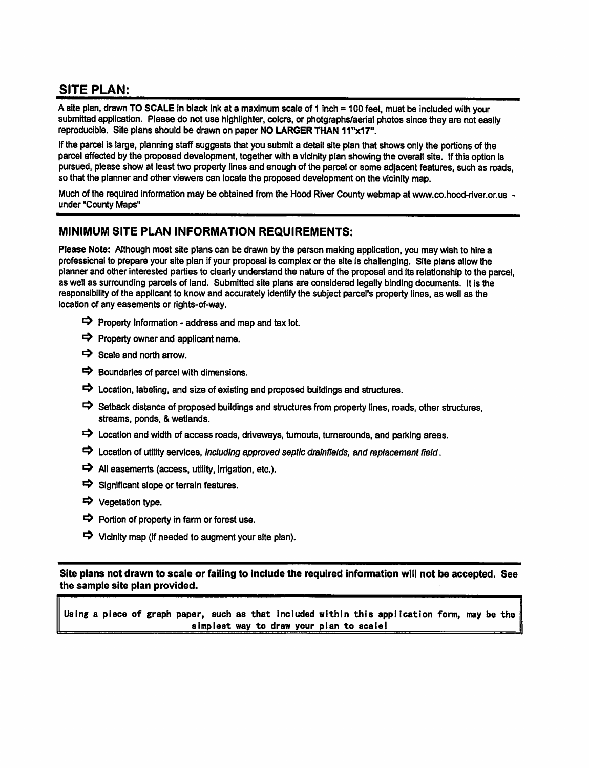## **SITE PLAN:**

A site plan, drawn TO SCALE in black ink at a maximum scale of 1 inch = 100 feet, must be included with your submitted application. Please do not use highlighter, colors, or photgraphs/aerial photos since they are not easily reproducible. Site plans should be drawn on paper NO LARGER THAN 11"x17".

If the parcel is large, planning staff suggests that you submit a detail site plan that shows only the portions of the parcel affected by the proposed development, together with a vicinity plan showing the overall site. If this option is pursued, please show at least two property lines and enough of the parcel or some adjacent features, such as roads, so that the planner and other viewers can locate the proposed development on the vicinity map.

Much of the required information may be obtained from the Hood River County webmap at www.co.hood-river.or.us under "County Maps"

### MINIMUM SITE PLAN INFORMATION REQUIREMENTS:

Please Note: Although most site plans can be drawn by the person making application, you may wish to hire a professional to prepare your site plan if your proposal is complex or the site is challenging. Site plans allow the planner and other interested parties to clearly understand the nature of the proposal and its relationship to the parcel. as well as surrounding parcels of land. Submitted site plans are considered legally binding documents. It is the responsibility of the applicant to know and accurately identify the subject parcel's property lines, as well as the location of any easements or rights-of-way.

- $\Rightarrow$  Property Information address and map and tax lot.
- $\Rightarrow$  Property owner and applicant name.
- $\Rightarrow$  Scale and north arrow.
- $\Rightarrow$  Boundaries of parcel with dimensions.
- $\Rightarrow$  Location, labeling, and size of existing and proposed buildings and structures.
- Setback distance of proposed buildings and structures from property lines, roads, other structures, streams, ponds, & wetlands.
- $\Rightarrow$  Location and width of access roads, driveways, turnouts, turnarounds, and parking areas.
- $\Rightarrow$  Location of utility services, including approved septic drainfields, and replacement field.
- $\Rightarrow$  All easements (access, utility, irrigation, etc.).
- $\Rightarrow$  Significant slope or terrain features.
- → Vegetation type.
- $\Rightarrow$  Portion of property in farm or forest use.
- $\Rightarrow$  Vicinity map (if needed to augment your site plan).

Site plans not drawn to scale or failing to include the required information will not be accepted. See the sample site plan provided.

Using a piece of graph paper, such as that included within this application form, may be the simplest way to draw your plan to scale!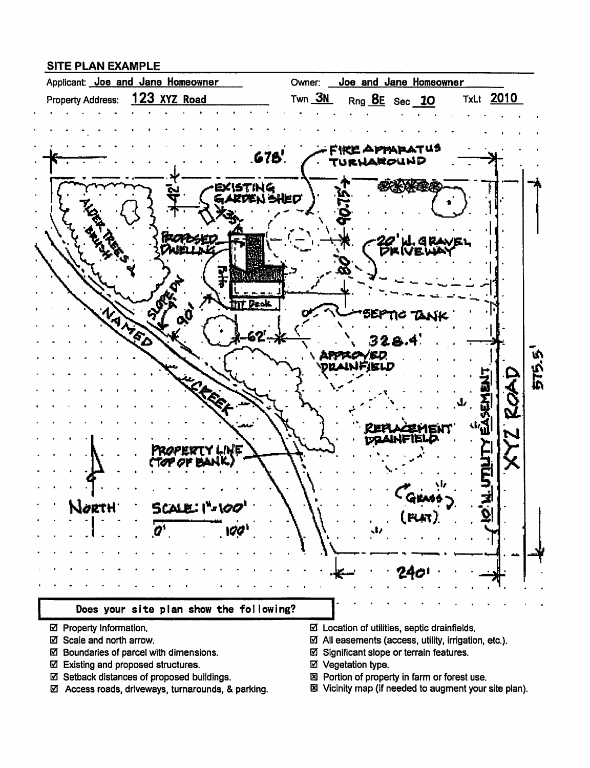### **SITE PLAN EXAMPLE**



- ☑ Property Information.
- ☑ Scale and north arrow.
- ☑ Boundaries of parcel with dimensions.
- ☑ Existing and proposed structures.
- ☑ Setback distances of proposed buildings.
- ☑ Access roads, driveways, turnarounds, & parking.
- $\boxtimes$  Location of utilities, septic drainfields.
- $\boxtimes$  All easements (access, utility, irrigation, etc.).
- ☑ Significant slope or terrain features.
- ☑ Vegetation type.
- 図 Portion of property in farm or forest use.
- 图 Vicinity map (if needed to augment your site plan).